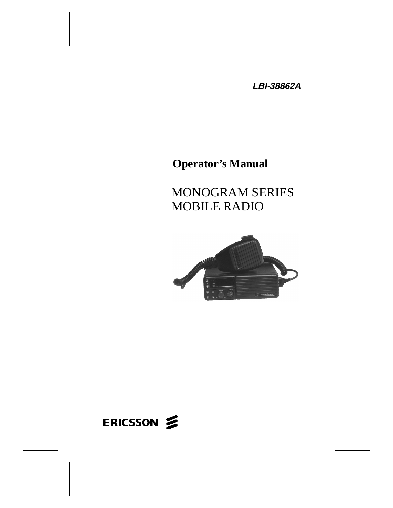**LBI-38862A**

# **Operator's Manual**

# MONOGRAM SERIES MOBILE RADIO



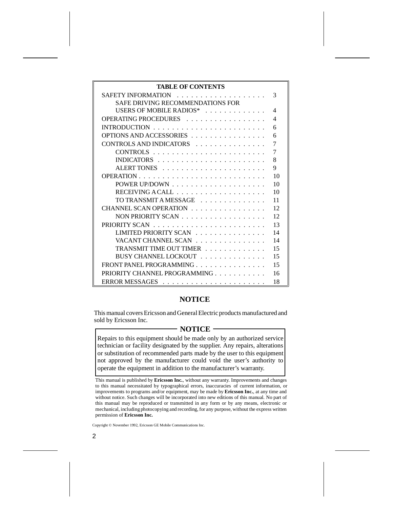| <b>TABLE OF CONTENTS</b>                                        |    |
|-----------------------------------------------------------------|----|
|                                                                 | 3  |
| SAFE DRIVING RECOMMENDATIONS FOR                                |    |
| USERS OF MOBILE RADIOS $*$                                      | 4  |
| OPERATING PROCEDURES                                            | 4  |
| INTRODUCTION $\ldots \ldots \ldots \ldots \ldots \ldots \ldots$ | 6  |
| OPTIONS AND ACCESSORIES                                         | 6  |
| CONTROLS AND INDICATORS                                         | 7  |
|                                                                 | 7  |
|                                                                 | 8  |
|                                                                 | 9  |
|                                                                 | 10 |
| POWER UP/DOWN $\ldots$                                          | 10 |
| RECEIVING A CALL $\ldots$                                       | 10 |
| TO TRANSMIT A MESSAGE                                           | 11 |
| CHANNEL SCAN OPERATION                                          | 12 |
| NON PRIORITY SCAN                                               | 12 |
|                                                                 | 13 |
| LIMITED PRIORITY SCAN                                           | 14 |
| VACANT CHANNEL SCAN                                             | 14 |
| TRANSMIT TIME OUT TIMER                                         | 15 |
| BUSY CHANNEL LOCKOUT                                            | 15 |
| FRONT PANEL PROGRAMMING                                         | 15 |
| <b>PRIORITY CHANNEL PROGRAMMING</b>                             | 16 |
| <b>ERROR MESSAGES</b>                                           | 18 |

# **NOTICE**

This manual covers Ericsson and General Electric products manufactured and sold by Ericsson Inc.

# $-$ **NOTICE**  $-$

Repairs to this equipment should be made only by an authorized service technician or facility designated by the supplier. Any repairs, alterations or substitution of recommended parts made by the user to this equipment not approved by the manufacturer could void the user's authority to operate the equipment in addition to the manufacturer's warranty.

Copyright © November 1992, Ericsson GE Mobile Communications Inc.

This manual is published by **Ericsson Inc.**, without any warranty. Improvements and changes to this manual necessitated by typographical errors, inaccuracies of current information, or improvements to programs and/or equipment, may be made by **Ericsson Inc.**, at any time and without notice. Such changes will be incorporated into new editions of this manual. No part of this manual may be reproduced or transmitted in any form or by any means, electronic or mechanical, including photocopying and recording, for any purpose, without the express written permission of **Ericsson Inc.**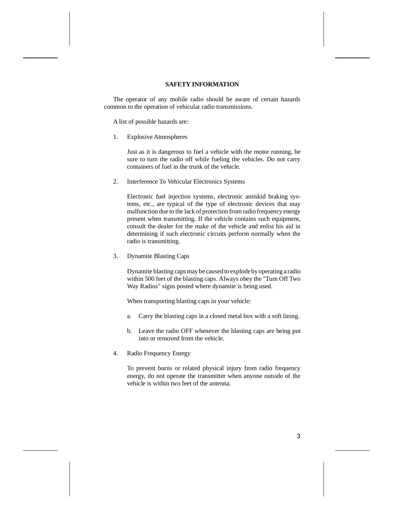#### **SAFETY INFORMATION**

The operator of any mobile radio should be aware of certain hazards common to the operation of vehicular radio transmissions.

A list of possible hazards are:

1. Explosive Atmospheres

Just as it is dangerous to fuel a vehicle with the motor running, be sure to turn the radio off while fueling the vehicles. Do not carry containers of fuel in the trunk of the vehicle.

2. Interference To Vehicular Electronics Systems

Electronic fuel injection systems, electronic antiskid braking systems, etc., are typical of the type of electronic devices that may malfunction due to the lack of protection from radio frequency energy present when transmitting. If the vehicle contains such equipment, consult the dealer for the make of the vehicle and enlist his aid in determining if such electronic circuits perform normally when the radio is transmitting.

3. Dynamite Blasting Caps

Dynamite blasting caps may be caused to explode by operating a radio within 500 feet of the blasting caps. Always obey the "Turn Off Two Way Radios" signs posted where dynamite is being used.

When transporting blasting caps in your vehicle:

- a. Carry the blasting caps in a closed metal box with a soft lining.
- b. Leave the radio OFF whenever the blasting caps are being put into or removed from the vehicle.
- 4. Radio Frequency Energy

To prevent burns or related physical injury from radio frequency energy, do not operate the transmitter when anyone outside of the vehicle is within two feet of the antenna.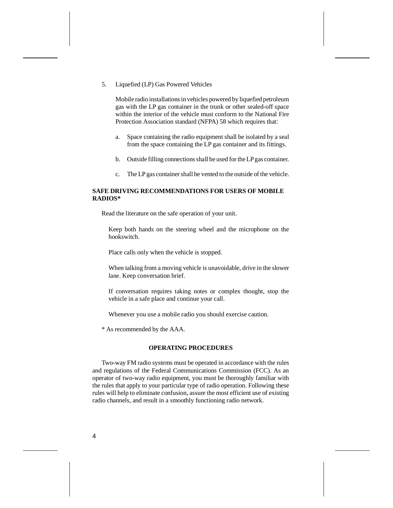5. Liquefied (LP) Gas Powered Vehicles

Mobile radio installations in vehicles powered by liquefied petroleum gas with the LP gas container in the trunk or other sealed-off space within the interior of the vehicle must conform to the National Fire Protection Association standard (NFPA) 58 which requires that:

- a. Space containing the radio equipment shall be isolated by a seal from the space containing the LP gas container and its fittings.
- b. Outside filling connections shall be used for the LP gas container.
- c. The LP gas container shall be vented to the outside of the vehicle.

#### **SAFE DRIVING RECOMMENDATIONS FOR USERS OF MOBILE RADIOS\***

Read the literature on the safe operation of your unit.

Keep both hands on the steering wheel and the microphone on the hookswitch.

Place calls only when the vehicle is stopped.

When talking from a moving vehicle is unavoidable, drive in the slower lane. Keep conversation brief.

If conversation requires taking notes or complex thought, stop the vehicle in a safe place and continue your call.

Whenever you use a mobile radio you should exercise caution.

\* As recommended by the AAA.

### **OPERATING PROCEDURES**

Two-way FM radio systems must be operated in accordance with the rules and regulations of the Federal Communications Commission (FCC). As an operator of two-way radio equipment, you must be thoroughly familiar with the rules that apply to your particular type of radio operation. Following these rules will help to eliminate confusion, assure the most efficient use of existing radio channels, and result in a smoothly functioning radio network.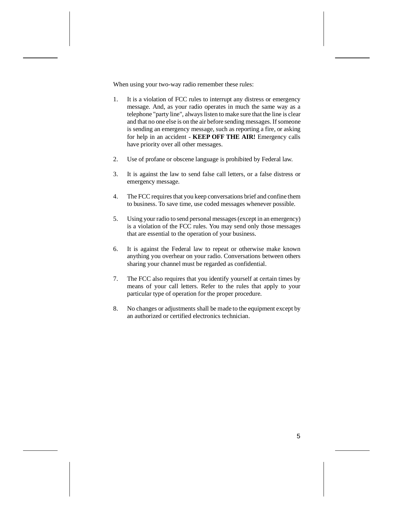When using your two-way radio remember these rules:

- 1. It is a violation of FCC rules to interrupt any distress or emergency message. And, as your radio operates in much the same way as a telephone "party line", always listen to make sure that the line is clear and that no one else is on the air before sending messages. If someone is sending an emergency message, such as reporting a fire, or asking for help in an accident - **KEEP OFF THE AIR!** Emergency calls have priority over all other messages.
- 2. Use of profane or obscene language is prohibited by Federal law.
- 3. It is against the law to send false call letters, or a false distress or emergency message.
- 4. The FCC requires that you keep conversations brief and confine them to business. To save time, use coded messages whenever possible.
- 5. Using your radio to send personal messages (except in an emergency) is a violation of the FCC rules. You may send only those messages that are essential to the operation of your business.
- 6. It is against the Federal law to repeat or otherwise make known anything you overhear on your radio. Conversations between others sharing your channel must be regarded as confidential.
- 7. The FCC also requires that you identify yourself at certain times by means of your call letters. Refer to the rules that apply to your particular type of operation for the proper procedure.
- 8. No changes or adjustments shall be made to the equipment except by an authorized or certified electronics technician.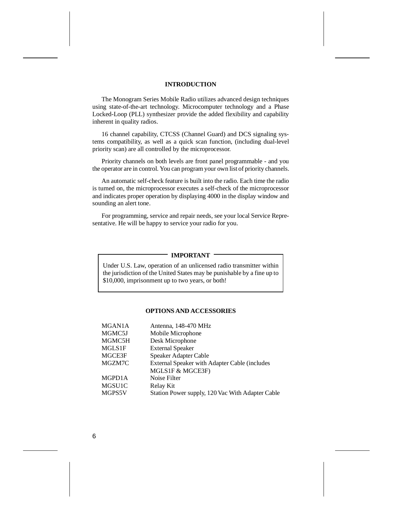#### **INTRODUCTION**

The Monogram Series Mobile Radio utilizes advanced design techniques using state-of-the-art technology. Microcomputer technology and a Phase Locked-Loop (PLL) synthesizer provide the added flexibility and capability inherent in quality radios.

16 channel capability, CTCSS (Channel Guard) and DCS signaling systems compatibility, as well as a quick scan function, (including dual-level priority scan) are all controlled by the microprocessor.

Priority channels on both levels are front panel programmable - and you the operator are in control. You can program your own list of priority channels.

An automatic self-check feature is built into the radio. Each time the radio is turned on, the microprocessor executes a self-check of the microprocessor and indicates proper operation by displaying 4000 in the display window and sounding an alert tone.

For programming, service and repair needs, see your local Service Representative. He will be happy to service your radio for you.

#### **IMPORTANT**

Under U.S. Law, operation of an unlicensed radio transmitter within the jurisdiction of the United States may be punishable by a fine up to \$10,000, imprisonment up to two years, or both!

#### **OPTIONS AND ACCESSORIES**

| MGAN1A | Antenna, 148-470 MHz                             |
|--------|--------------------------------------------------|
| MGMC5J | Mobile Microphone                                |
| MGMC5H | Desk Microphone                                  |
| MGLS1F | <b>External Speaker</b>                          |
| MGCE3F | Speaker Adapter Cable                            |
| MGZM7C | External Speaker with Adapter Cable (includes    |
|        | MGLS1F & MGCE3F)                                 |
| MGPD1A | Noise Filter                                     |
| MGSU1C | Relay Kit                                        |
| MGPS5V | Station Power supply, 120 Vac With Adapter Cable |
|        |                                                  |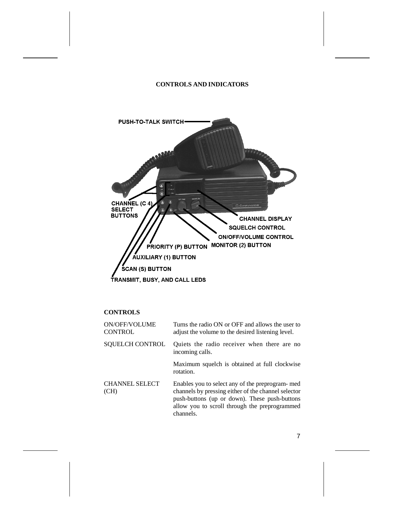## **CONTROLS AND INDICATORS**



# **CONTROLS**

| ON/OFF/VOLUME<br><b>CONTROL</b> | Turns the radio ON or OFF and allows the user to<br>adjust the volume to the desired listening level.                                                                                                                  |
|---------------------------------|------------------------------------------------------------------------------------------------------------------------------------------------------------------------------------------------------------------------|
| <b>SQUELCH CONTROL</b>          | Quiets the radio receiver when there are no<br>incoming calls.                                                                                                                                                         |
|                                 | Maximum squelch is obtained at full clockwise<br>rotation.                                                                                                                                                             |
| <b>CHANNEL SELECT</b><br>(CH)   | Enables you to select any of the preprogram- med<br>channels by pressing either of the channel selector<br>push-buttons (up or down). These push-buttons<br>allow you to scroll through the preprogrammed<br>channels. |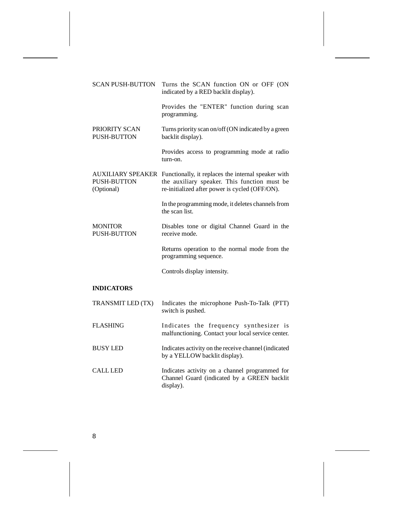| <b>SCAN PUSH-BUTTON</b>              | Turns the SCAN function ON or OFF (ON<br>indicated by a RED backlit display).                                                                                           |
|--------------------------------------|-------------------------------------------------------------------------------------------------------------------------------------------------------------------------|
|                                      | Provides the "ENTER" function during scan<br>programming.                                                                                                               |
| PRIORITY SCAN<br><b>PUSH-BUTTON</b>  | Turns priority scan on/off (ON indicated by a green<br>backlit display).                                                                                                |
|                                      | Provides access to programming mode at radio<br>turn-on.                                                                                                                |
| <b>PUSH-BUTTON</b><br>(Optional)     | AUXILIARY SPEAKER Functionally, it replaces the internal speaker with<br>the auxiliary speaker. This function must be<br>re-initialized after power is cycled (OFF/ON). |
|                                      | In the programming mode, it deletes channels from<br>the scan list.                                                                                                     |
| <b>MONITOR</b><br><b>PUSH-BUTTON</b> | Disables tone or digital Channel Guard in the<br>receive mode.                                                                                                          |
|                                      | Returns operation to the normal mode from the<br>programming sequence.                                                                                                  |
|                                      | Controls display intensity.                                                                                                                                             |
| <b>INDICATORS</b>                    |                                                                                                                                                                         |
| TRANSMIT LED (TX)                    | Indicates the microphone Push-To-Talk (PTT)<br>switch is pushed.                                                                                                        |
| <b>FLASHING</b>                      | Indicates the frequency synthesizer is<br>malfunctioning. Contact your local service center.                                                                            |
| <b>BUSY LED</b>                      | Indicates activity on the receive channel (indicated<br>by a YELLOW backlit display).                                                                                   |
| <b>CALL LED</b>                      | Indicates activity on a channel programmed for<br>Channel Guard (indicated by a GREEN backlit<br>display).                                                              |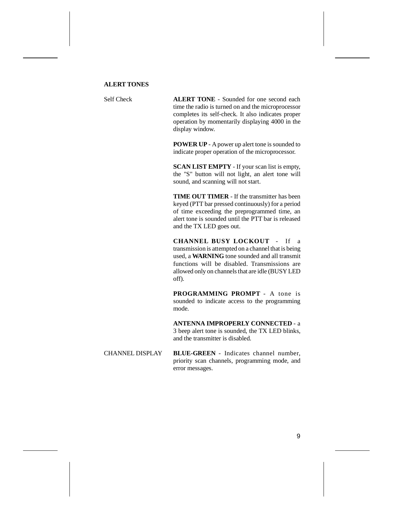#### **ALERT TONES**

Self Check **ALERT TONE** - Sounded for one second each time the radio is turned on and the microprocessor completes its self-check. It also indicates proper operation by momentarily displaying 4000 in the display window.

> **POWER UP** - A power up alert tone is sounded to indicate proper operation of the microprocessor.

> **SCAN LIST EMPTY** - If your scan list is empty, the "S" button will not light, an alert tone will sound, and scanning will not start.

> **TIME OUT TIMER** - If the transmitter has been keyed (PTT bar pressed continuously) for a period of time exceeding the preprogrammed time, an alert tone is sounded until the PTT bar is released and the TX LED goes out.

> **CHANNEL BUSY LOCKOUT** - If a transmission is attempted on a channel that is being used, a **WARNING** tone sounded and all transmit functions will be disabled. Transmissions are allowed only on channels that are idle (BUSY LED off).

> **PROGRAMMING PROMPT** - A tone is sounded to indicate access to the programming mode.

> **ANTENNA IMPROPERLY CONNECTED** - a 3 beep alert tone is sounded, the TX LED blinks, and the transmitter is disabled.

CHANNEL DISPLAY **BLUE-GREEN** - Indicates channel number, priority scan channels, programming mode, and error messages.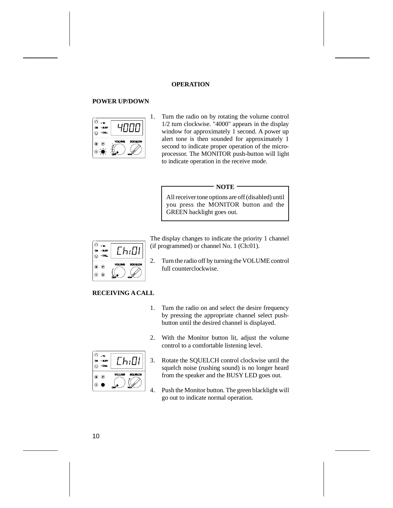# **OPERATION**

# **POWER UP/DOWN**



1. Turn the radio on by rotating the volume control 1/2 turn clockwise. "4000" appears in the display window for approximately 1 second. A power up alert tone is then sounded for approximately 1 second to indicate proper operation of the microprocessor. The MONITOR push-button will light to indicate operation in the receive mode.

#### **NOTE**

All receiver tone options are off (disabled) until you press the MONITOR button and the GREEN backlight goes out.



The display changes to indicate the priority 1 channel (if programmed) or channel No. 1 (Ch:01).

2. Turn the radio off by turning the VOLUME control full counterclockwise.

#### **RECEIVING A CALL**

- by pressing the appropriate channel select pushbutton until the desired channel is displayed.
	- 2. With the Monitor button lit, adjust the volume control to a comfortable listening level.

1. Turn the radio on and select the desire frequency

- 3. Rotate the SQUELCH control clockwise until the squelch noise (rushing sound) is no longer heard from the speaker and the BUSY LED goes out.
	- 4. Push the Monitor button. The green blacklight will go out to indicate normal operation.

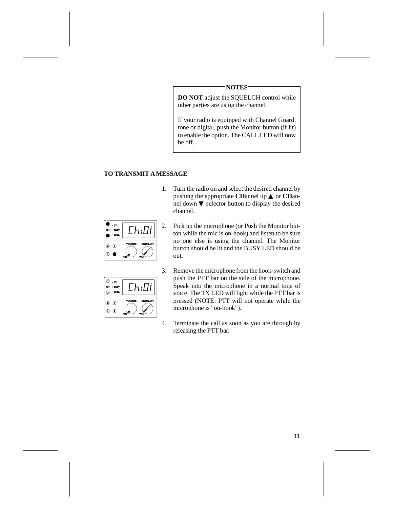#### **NOTES**

**DO NOT** adjust the SOUELCH control while other parties are using the channel.

If your radio is equipped with Channel Guard, tone or digital, push the Monitor button (if lit) to enable the option. The CALL LED will now be off.

# **TO TRANSMIT A MESSAGE**

| $\cdot$ TX<br>- BUSY<br>c.<br>$-COL$ | コル                       |
|--------------------------------------|--------------------------|
| ⊙<br>$\left( \bullet \right)$        | <b>VOLUME</b><br>SQUELCH |
| (1)                                  |                          |

- 1. Turn the radio on and select the desired channel by pushing the appropriate **CH**annel up ▲ or **CH**annel down ▼ selector button to display the desired channel.
- 2. Pick up the microphone (or Push the Monitor button while the mic is on-hook) and listen to be sure no one else is using the channel. The Monitor button should be lit and the BUSY LED should be out.



- 3. Remove the microphone from the hook-switch and push the PTT bar on the side of the microphone. Speak into the microphone in a normal tone of voice. The TX LED will light while the PTT bar is pressed (NOTE: PTT will not operate while the microphone is "on-hook").
- 4. Terminate the call as soon as you are through by releasing the PTT bar.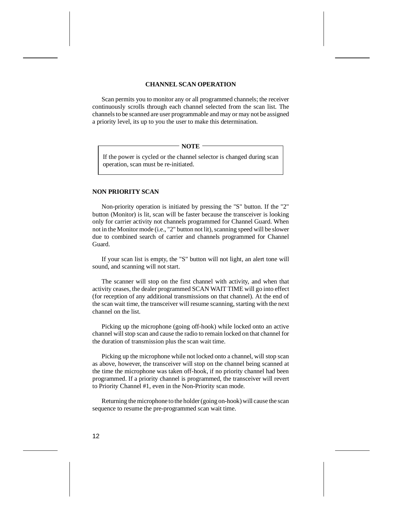#### **CHANNEL SCAN OPERATION**

Scan permits you to monitor any or all programmed channels; the receiver continuously scrolls through each channel selected from the scan list. The channels to be scanned are user programmable and may or may not be assigned a priority level, its up to you the user to make this determination.

#### **NOTE**

If the power is cycled or the channel selector is changed during scan operation, scan must be re-initiated.

#### **NON PRIORITY SCAN**

Non-priority operation is initiated by pressing the "S" button. If the "2" button (Monitor) is lit, scan will be faster because the transceiver is looking only for carrier activity not channels programmed for Channel Guard. When not in the Monitor mode (i.e., "2" button not lit), scanning speed will be slower due to combined search of carrier and channels programmed for Channel Guard.

If your scan list is empty, the "S" button will not light, an alert tone will sound, and scanning will not start.

The scanner will stop on the first channel with activity, and when that activity ceases, the dealer programmed SCAN WAIT TIME will go into effect (for reception of any additional transmissions on that channel). At the end of the scan wait time, the transceiver will resume scanning, starting with the next channel on the list.

Picking up the microphone (going off-hook) while locked onto an active channel will stop scan and cause the radio to remain locked on that channel for the duration of transmission plus the scan wait time.

Picking up the microphone while not locked onto a channel, will stop scan as above, however, the transceiver will stop on the channel being scanned at the time the microphone was taken off-hook, if no priority channel had been programmed. If a priority channel is programmed, the transceiver will revert to Priority Channel #1, even in the Non-Priority scan mode.

Returning the microphone to the holder (going on-hook) will cause the scan sequence to resume the pre-programmed scan wait time.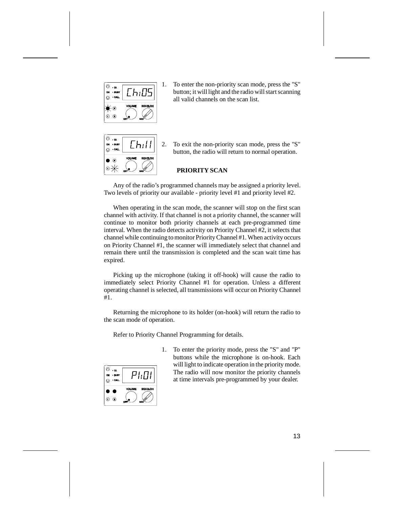1. To enter the non-priority scan mode, press the "S" button; it will light and the radio will start scanning all valid channels on the scan list.



2. To exit the non-priority scan mode, press the "S" button, the radio will return to normal operation.

# **PRIORITY SCAN**

Any of the radio's programmed channels may be assigned a priority level. Two levels of priority our available - priority level #1 and priority level #2.

When operating in the scan mode, the scanner will stop on the first scan channel with activity. If that channel is not a priority channel, the scanner will continue to monitor both priority channels at each pre-programmed time interval. When the radio detects activity on Priority Channel #2, it selects that channel while continuing to monitor Priority Channel #1. When activity occurs on Priority Channel #1, the scanner will immediately select that channel and remain there until the transmission is completed and the scan wait time has expired.

Picking up the microphone (taking it off-hook) will cause the radio to immediately select Priority Channel #1 for operation. Unless a different operating channel is selected, all transmissions will occur on Priority Channel #1.

Returning the microphone to its holder (on-hook) will return the radio to the scan mode of operation.

Refer to Priority Channel Programming for details.



1. To enter the priority mode, press the "S" and "P" buttons while the microphone is on-hook. Each will light to indicate operation in the priority mode. The radio will now monitor the priority channels at time intervals pre-programmed by your dealer.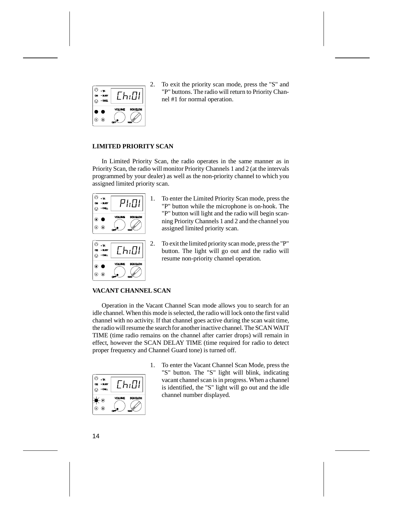

2. To exit the priority scan mode, press the "S" and "P" buttons. The radio will return to Priority Channel #1 for normal operation.

# **LIMITED PRIORITY SCAN**

In Limited Priority Scan, the radio operates in the same manner as in Priority Scan, the radio will monitor Priority Channels 1 and 2 (at the intervals programmed by your dealer) as well as the non-priority channel to which you assigned limited priority scan.



- 1. To enter the Limited Priority Scan mode, press the "P" button while the microphone is on-hook. The "P" button will light and the radio will begin scanning Priority Channels 1 and 2 and the channel you assigned limited priority scan.
- 2. To exit the limited priority scan mode, press the "P" button. The light will go out and the radio will resume non-priority channel operation.

# **VACANT CHANNEL SCAN**

Operation in the Vacant Channel Scan mode allows you to search for an idle channel. When this mode is selected, the radio will lock onto the first valid channel with no activity. If that channel goes active during the scan wait time, the radio will resume the search for another inactive channel. The SCAN WAIT TIME (time radio remains on the channel after carrier drops) will remain in effect, however the SCAN DELAY TIME (time required for radio to detect proper frequency and Channel Guard tone) is turned off.

| $\cdot$ TX<br>- BUBY<br>$\alpha$<br>CALL | $\mathbf{1}$             |
|------------------------------------------|--------------------------|
| $\bigcirc$<br>Œ<br>2)                    | <b>VOLUME</b><br>SQUELCH |

1. To enter the Vacant Channel Scan Mode, press the "S" button. The "S" light will blink, indicating vacant channel scan is in progress. When a channel is identified, the "S" light will go out and the idle channel number displayed.

⋒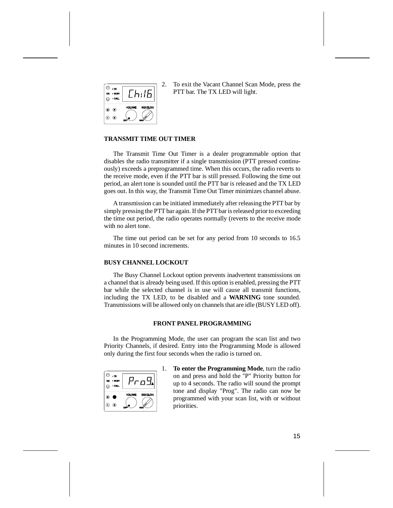

2. To exit the Vacant Channel Scan Mode, press the PTT bar. The TX LED will light.

#### **TRANSMIT TIME OUT TIMER**

The Transmit Time Out Timer is a dealer programmable option that disables the radio transmitter if a single transmission (PTT pressed continuously) exceeds a preprogrammed time. When this occurs, the radio reverts to the receive mode, even if the PTT bar is still pressed. Following the time out period, an alert tone is sounded until the PTT bar is released and the TX LED goes out. In this way, the Transmit Time Out Timer minimizes channel abuse.

A transmission can be initiated immediately after releasing the PTT bar by simply pressing the PTT bar again. If the PTT bar is released prior to exceeding the time out period, the radio operates normally (reverts to the receive mode with no alert tone.

The time out period can be set for any period from 10 seconds to 16.5 minutes in 10 second increments.

#### **BUSY CHANNEL LOCKOUT**

The Busy Channel Lockout option prevents inadvertent transmissions on a channel that is already being used. If this option is enabled, pressing the PTT bar while the selected channel is in use will cause all transmit functions, including the TX LED, to be disabled and a **WARNING** tone sounded. Transmissions will be allowed only on channels that are idle (BUSY LED off).

#### **FRONT PANEL PROGRAMMING**

In the Programming Mode, the user can program the scan list and two Priority Channels, if desired. Entry into the Programming Mode is allowed only during the first four seconds when the radio is turned on.



1. **To enter the Programming Mode**, turn the radio on and press and hold the "P" Priority button for up to 4 seconds. The radio will sound the prompt tone and display "Prog". The radio can now be programmed with your scan list, with or without priorities.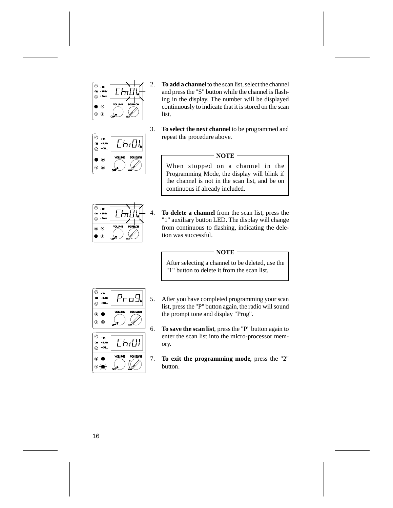

 $\Gamma$ h: $\Pi$ i

⊚ .-∝

 $\cdot$  BUS)  $\cdot$  CALL  $\odot$  $\odot$  $\odot$ 

- 2. **To add a channel** to the scan list, select the channel and press the "S" button while the channel is flashing in the display. The number will be displayed continuously to indicate that it is stored on the scan list.
- 3. **To select the next channel** to be programmed and repeat the procedure above.

#### **NOTE**

When stopped on a channel in the Programming Mode, the display will blink if the channel is not in the scan list, and be on continuous if already included.



4. **To delete a channel** from the scan list, press the "1" auxiliary button LED. The display will change from continuous to flashing, indicating the deletion was successful.

#### **NOTE**

After selecting a channel to be deleted, use the "1" button to delete it from the scan list.



- 5. After you have completed programming your scan list, press the "P" button again, the radio will sound the prompt tone and display "Prog".
- 6. **To save the scan list**, press the "P" button again to enter the scan list into the micro-processor memory.
- 7. **To exit the programming mode**, press the "2" button.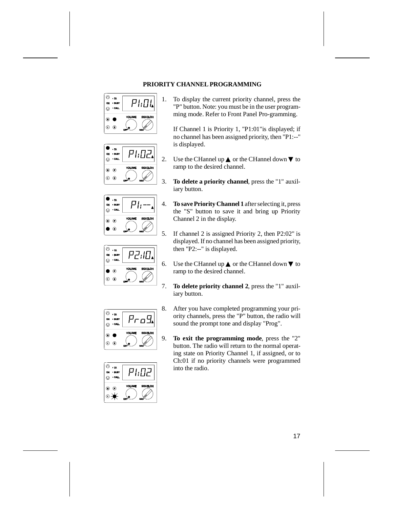# **PRIORITY CHANNEL PROGRAMMING**









1. To display the current priority channel, press the "P" button. Note: you must be in the user programming mode. Refer to Front Panel Pro-gramming.

If Channel 1 is Priority 1, "P1:01"is displayed; if no channel has been assigned priority, then "P1:--" is displayed.

- 2. Use the CHannel up  $\triangle$  or the CHannel down  $\nabla$  to ramp to the desired channel.
- 3. **To delete a priority channel**, press the "1" auxiliary button.
- 4. **To save Priority Channel 1** after selecting it, press the "S" button to save it and bring up Priority Channel 2 in the display.
- 5. If channel 2 is assigned Priority 2, then P2:02" is displayed. If no channel has been assigned priority, then "P2:--" is displayed.
- 6. Use the CHannel up  $\triangle$  or the CHannel down  $\nabla$  to ramp to the desired channel.
- 7. **To delete priority channel 2**, press the "1" auxiliary button.





- 8. After you have completed programming your priority channels, press the "P" button, the radio will sound the prompt tone and display "Prog".
- 9. **To exit the programming mode**, press the "2" button. The radio will return to the normal operating state on Priority Channel 1, if assigned, or to Ch:01 if no priority channels were programmed into the radio.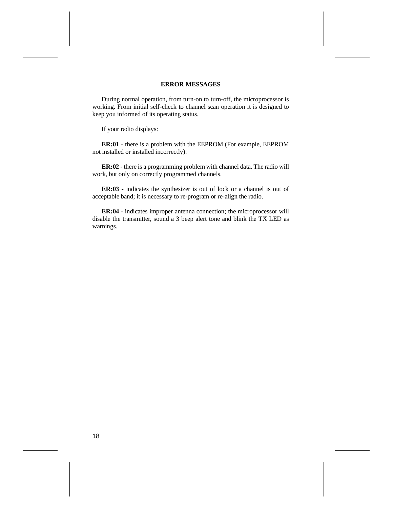#### **ERROR MESSAGES**

During normal operation, from turn-on to turn-off, the microprocessor is working. From initial self-check to channel scan operation it is designed to keep you informed of its operating status.

If your radio displays:

**ER:01** - there is a problem with the EEPROM (For example, EEPROM not installed or installed incorrectly).

**ER:02** - there is a programming problem with channel data. The radio will work, but only on correctly programmed channels.

**ER:03** - indicates the synthesizer is out of lock or a channel is out of acceptable band; it is necessary to re-program or re-align the radio.

**ER:04** - indicates improper antenna connection; the microprocessor will disable the transmitter, sound a 3 beep alert tone and blink the TX LED as warnings.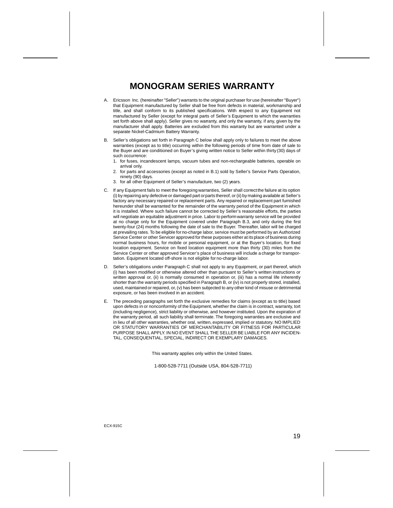# **MONOGRAM SERIES WARRANTY**

- A. Ericsson Inc. (hereinafter "Seller") warrants to the original purchaser for use (hereinafter "Buyer") that Equipment manufactured by Seller shall be free from defects in material, workmanship and title, and shall conform to its published specifications. With respect to any Equipment not manufactured by Seller (except for integral parts of Seller's Equipment to which the warranties set forth above shall apply). Seller gives no warranty, and only the warranty, if any, given by the manufacturer shall apply. Batteries are excluded from this warranty but are warranted under a separate Nickel-Cadmium Battery Warranty.
- B. Seller's obligations set forth in Paragraph C below shall apply only to failures to meet the above warranties (except as to title) occurring within the following periods of time from date of sale to the Buyer and are conditioned on Buyer's giving written notice to Seller within thirty (30) days of such occurrence:
	- 1. for fuses, incandescent lamps, vacuum tubes and non-rechargeable batteries, operable on arrival only.
	- 2. for parts and accessories (except as noted in B.1) sold by Seller's Service Parts Operation, ninety (90) days.
	- 3. for all other Equipment of Seller's manufacture, two (2) years.
- C. If any Equipment fails to meet the foregoing warranties, Seller shall correct the failure at its option (i) by repairing any defective or damaged part or parts thereof, or (ii) by making available at Seller's factory any necessary repaired or replacement parts. Any repaired or replacement part furnished hereunder shall be warranted for the remainder of the warranty period of the Equipment in which it is installed. Where such failure cannot be corrected by Seller's reasonable efforts, the parties will negotiate an equitable adjustment in price. Labor to perform warranty service will be provided at no charge only for the Equipment covered under Paragraph B.3, and only during the first twenty-four (24) months following the date of sale to the Buyer. Thereafter, labor will be charged at prevailing rates. To be eligible for no-charge labor, service must be performed by an Authorized Service Center or other Servicer approved for these purposes either at its place of business during normal business hours, for mobile or personal equipment, or at the Buyer's location, for fixed location equipment. Service on fixed location equipment more than thirty (30) miles from the Service Center or other approved Servicer's place of business will include a charge for transportation. Equipment located off-shore is not eligible for no-charge labor.
- D. Seller's obligations under Paragraph C shall not apply to any Equipment, or part thereof, which (i) has been modified or otherwise altered other than pursuant to Seller's written instructions or written approval or, (ii) is normally consumed in operation or, (iii) has a normal life inherently shorter than the warranty periods specified in Paragraph B, or (iv) is not properly stored, installed, used, maintained or repaired, or, (v) has been subjected to any other kind of misuse or detrimental exposure, or has been involved in an accident.
- E. The preceding paragraphs set forth the exclusive remedies for claims (except as to title) based upon defects in or nonconformity of the Equipment, whether the claim is in contract, warranty, tort (including negligence), strict liability or otherwise, and however instituted. Upon the expiration of the warranty period, all such liability shall terminate. The foregoing warranties are exclusive and in lieu of all other warranties, whether oral, written, expressed, implied or statutory. NO IMPLIED OR STATUTORY WARRANTIES OF MERCHANTABILITY OR FITNESS FOR PARTICULAR PURPOSE SHALL APPLY. IN NO EVENT SHALL THE SELLER BE LIABLE FOR ANY INCIDEN-TAL, CONSEQUENTIAL, SPECIAL, INDIRECT OR EXEMPLARY DAMAGES.

This warranty applies only within the United States.

1-800-528-7711 (Outside USA, 804-528-7711)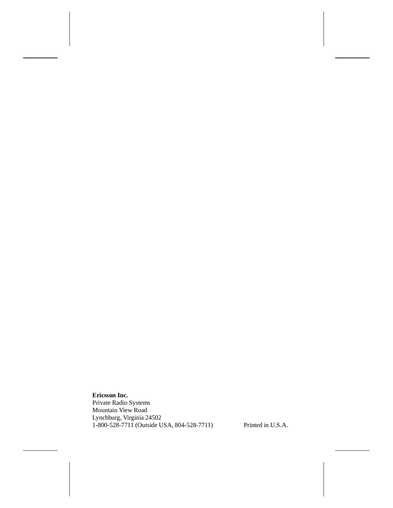# **Ericsson Inc.** Private Radio Systems Mountain View Road Lynchburg, Virginia 24502 1-800-528-7711 (Outside USA, 804-528-7711) Printed in U.S.A.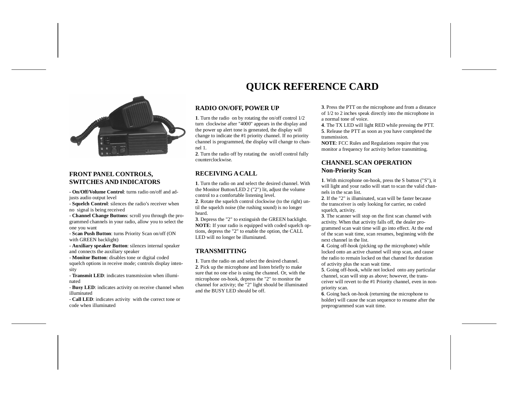# **QUICK REFERENCE CARD**



# **FRONT PANEL CONTROLS, SWITCHES AND INDICATORS**

**- On/Off/Volume Control**: turns radio on/off and adjusts audio output level

- **Squelch Control**: silences the radio's receiver when no signal is being received

- **Channel Change Buttons**: scroll you through the programmed channels in your radio, allow you to select the one you want

- **Scan Push Button**: turns Priority Scan on/off (ON with GREEN backlight)

- **Auxiliary speaker Button**: silences internal speaker and connects the auxiliary speaker

- **Monitor Button**: disables tone or digital coded squelch options in receive mode; controls display intensity

- **Transmit LED**: indicates transmission when illuminated

- **Busy LED**: indicates activity on receive channel when illuminated

- **Call LED**: indicates activity with the correct tone or code when illuminated

# **RADIO ON/OFF, POWER UP**

**1**. Turn the radio on by rotating the on/off control 1/2 turn clockwise after "4000" appears in the display and the power up alert tone is generated, the display will change to indicate the #1 priority channel. If no priority channel is programmed, the display will change to channel 1.

**2**. Turn the radio off by rotating the on/off control fully counterclockwise.

# **RECEIVING A CALL**

**1**. Turn the radio on and select the desired channel. Withthe Monitor Button/LED 2 ("2") lit, adjust the volume control to a comfortable listening level.

**2**. Rotate the squelch control clockwise (to the right) until the squelch noise (the rushing sound) is no longer heard.

**3**. Depress the "2" to extinguish the GREEN backlight. **NOTE**: If your radio is equipped with coded squelch options, depress the "2" to enable the option, the CALL LED will no longer be illuminated.

# **TRANSMITTING**

**1**. Turn the radio on and select the desired channel.

**2**. Pick up the microphone and listen briefly to make sure that no one else is using the channel. Or, with the microphone on-hook, depress the "2" to monitor the channel for activity; the "2" light should be illuminated and the BUSY LED should be off.

**3**. Press the PTT on the microphone and from a distance of 1/2 to 2 inches speak directly into the microphone in a normal tone of voice.

**4**. The TX LED will light RED while pressing the PTT. **5**. Release the PTT as soon as you have completed the transmission.

**NOTE**: FCC Rules and Regulations require that you monitor a frequency for activity before transmitting.

# **CHANNEL SCAN OPERATIONNon-Priority Scan**

**1**. With microphone on-hook, press the S button ("S"), it will light and your radio will start to scan the valid channels in the scan list.

**2**. If the "2" is illuminated, scan will be faster because the transceiver is only looking for carrier, no coded squelch, activity.

**3**. The scanner will stop on the first scan channel with activity. When that activity falls off, the dealer programmed scan wait time will go into effect. At the end of the scan wait time, scan resumes, beginning with the next channel in the list.

**4**. Going off-hook (picking up the microphone) while locked onto an active channel will stop scan, and cause the radio to remain locked on that channel for durationof activity plus the scan wait time.

**5**. Going off-hook, while not locked onto any particular channel, scan will stop as above; however, the transceiver will revert to the #1 Priority channel, even in nonpriority scan.

**6**. Going back on-hook (returning the microphone to holder) will cause the scan sequence to resume after the preprogrammed scan wait time.